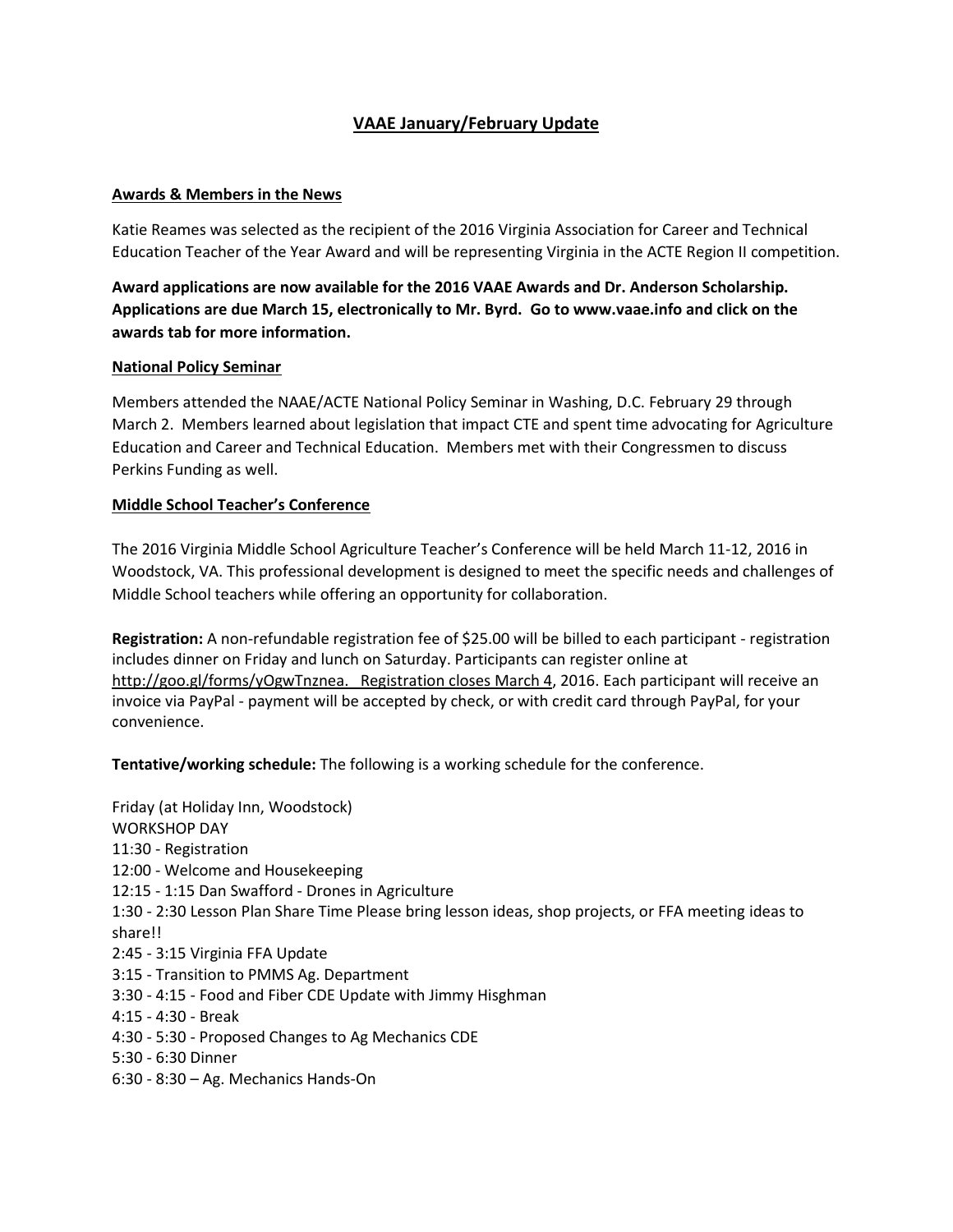# **VAAE January/February Update**

### **Awards & Members in the News**

Katie Reames was selected as the recipient of the 2016 Virginia Association for Career and Technical Education Teacher of the Year Award and will be representing Virginia in the ACTE Region II competition.

**Award applications are now available for the 2016 VAAE Awards and Dr. Anderson Scholarship. Applications are due March 15, electronically to Mr. Byrd. Go t[o www.vaae.info](http://www.vaae.info/) and click on the awards tab for more information.**

#### **National Policy Seminar**

Members attended the NAAE/ACTE National Policy Seminar in Washing, D.C. February 29 through March 2. Members learned about legislation that impact CTE and spent time advocating for Agriculture Education and Career and Technical Education. Members met with their Congressmen to discuss Perkins Funding as well.

### **Middle School Teacher's Conference**

The 2016 Virginia Middle School Agriculture Teacher's Conference will be held March 11-12, 2016 in Woodstock, VA. This professional development is designed to meet the specific needs and challenges of Middle School teachers while offering an opportunity for collaboration.

**Registration:** A non-refundable registration fee of \$25.00 will be billed to each participant - registration includes dinner on Friday and lunch on Saturday. Participants can register online at [http://goo.gl/forms/yOgwTnznea. Registration closes March 4,](http://goo.gl/forms/yOgwTnznea.%20%20%20Registration%20closes%20March%204) 2016. Each participant will receive an invoice via PayPal - payment will be accepted by check, or with credit card through PayPal, for your convenience.

**Tentative/working schedule:** The following is a working schedule for the conference.

Friday (at Holiday Inn, Woodstock) WORKSHOP DAY 11:30 - Registration 12:00 - Welcome and Housekeeping 12:15 - 1:15 Dan Swafford - Drones in Agriculture 1:30 - 2:30 Lesson Plan Share Time Please bring lesson ideas, shop projects, or FFA meeting ideas to share!! 2:45 - 3:15 Virginia FFA Update 3:15 - Transition to PMMS Ag. Department 3:30 - 4:15 - Food and Fiber CDE Update with Jimmy Hisghman 4:15 - 4:30 - Break 4:30 - 5:30 - Proposed Changes to Ag Mechanics CDE 5:30 - 6:30 Dinner 6:30 - 8:30 – Ag. Mechanics Hands-On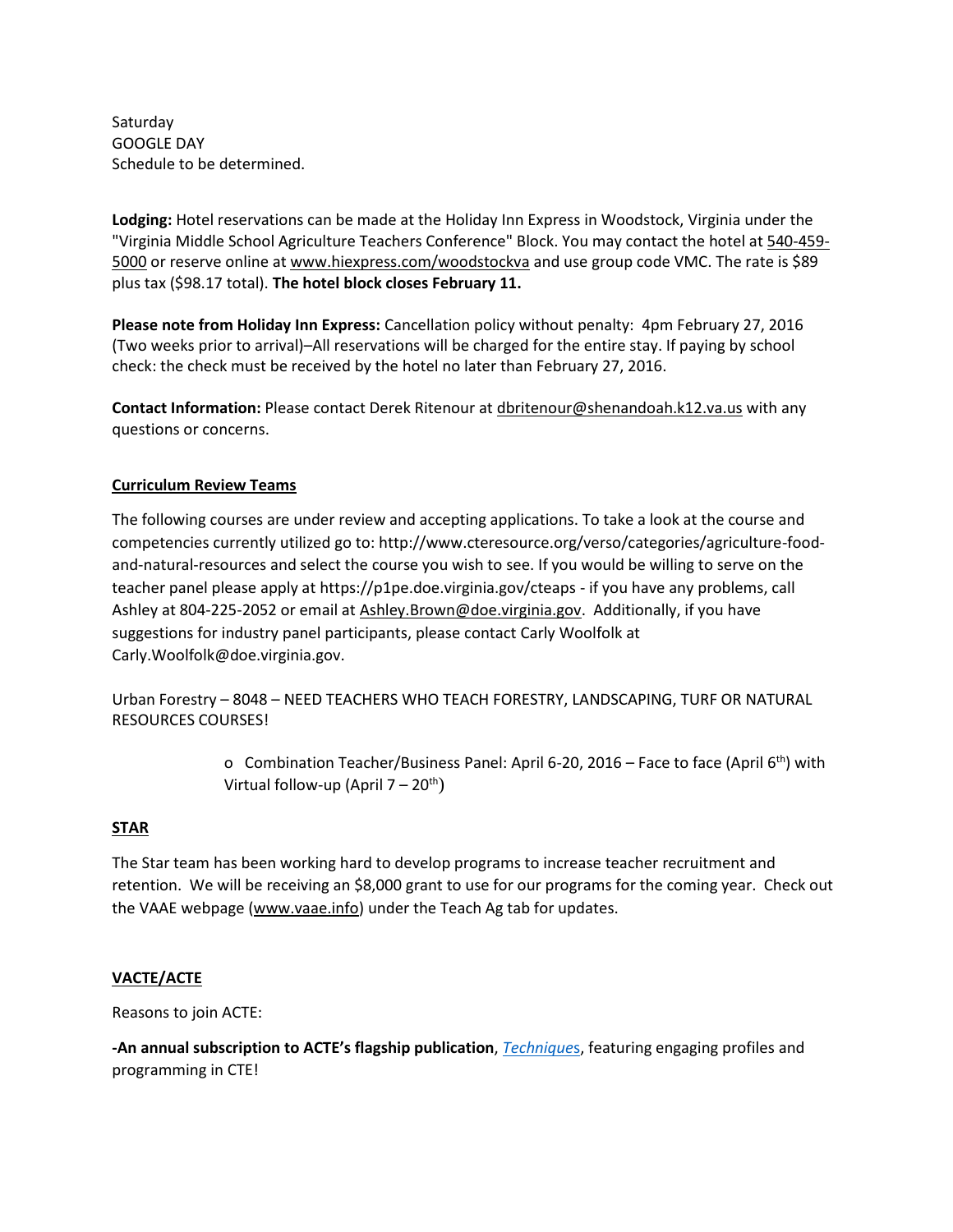Saturday GOOGLE DAY Schedule to be determined.

**Lodging:** Hotel reservations can be made at the Holiday Inn Express in Woodstock, Virginia under the "Virginia Middle School Agriculture Teachers Conference" Block. You may contact the hotel at [540-459-](tel:540-459-5000) [5000](tel:540-459-5000) or reserve online a[t www.hiexpress.com/woodstockva](http://www.hiexpress.com/woodstockva) and use group code VMC. The rate is \$89 plus tax (\$98.17 total). **The hotel block closes February 11.** 

**Please note from Holiday Inn Express:** Cancellation policy without penalty: 4pm February 27, 2016 (Two weeks prior to arrival)–All reservations will be charged for the entire stay. If paying by school check: the check must be received by the hotel no later than February 27, 2016.

**Contact Information:** Please contact Derek Ritenour at [dbritenour@shenandoah.k12.va.us](mailto:dbritenour@shenandoah.k12.va.us) with any questions or concerns.

## **Curriculum Review Teams**

The following courses are under review and accepting applications. To take a look at the course and competencies currently utilized go to: http://www.cteresource.org/verso/categories/agriculture-foodand-natural-resources and select the course you wish to see. If you would be willing to serve on the teacher panel please apply at https://p1pe.doe.virginia.gov/cteaps - if you have any problems, call Ashley at 804-225-2052 or email at [Ashley.Brown@doe.virginia.gov.](mailto:Ashley.Brown@doe.virginia.gov) Additionally, if you have suggestions for industry panel participants, please contact Carly Woolfolk at Carly.Woolfolk@doe.virginia.gov.

Urban Forestry – 8048 – NEED TEACHERS WHO TEACH FORESTRY, LANDSCAPING, TURF OR NATURAL RESOURCES COURSES!

> o Combination Teacher/Business Panel: April 6-20, 2016 – Face to face (April  $6<sup>th</sup>$ ) with Virtual follow-up (April  $7 - 20^{th}$ )

### **STAR**

The Star team has been working hard to develop programs to increase teacher recruitment and retention. We will be receiving an \$8,000 grant to use for our programs for the coming year. Check out the VAAE webpage [\(www.vaae.info\)](http://www.vaae.info/) under the Teach Ag tab for updates.

### **VACTE/ACTE**

Reasons to join ACTE:

**-An annual subscription to ACTE's flagship publication**, *[Technique](https://www.acteonline.org/techniques)*s, featuring engaging profiles and programming in CTE!